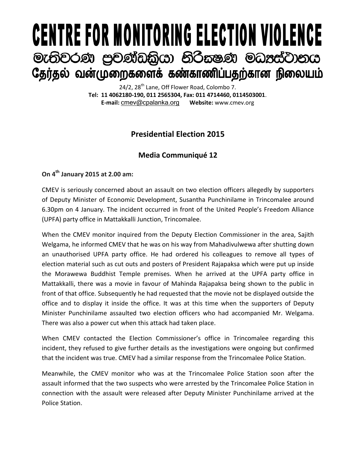# **CENTRE FOR MONITORING ELECTION VIOLENCE** මැතිවරණ පුචණ්ඩකිුයා නිරීකෂණ මධාප්ටානය தேர்தல் வன்முறைகளைக் கண்காணிப்பதற்கான நிலையம்

24/2, 28<sup>th</sup> Lane, Off Flower Road, Colombo 7. **Tel: 11 4062180-190, 011 2565304, Fax: 011 4714460, 0114503001**. **E-mail:** [cmev@cpalanka.org](mailto:cmev@cpalanka.org) **Website:** www.cmev.org

## **Presidential Election 2015**

### **Media Communiqué 12**

#### **On 4th January 2015 at 2.00 am:**

CMEV is seriously concerned about an assault on two election officers allegedly by supporters of Deputy Minister of Economic Development, Susantha Punchinilame in Trincomalee around 6.30pm on 4 January. The incident occurred in front of the United People's Freedom Alliance (UPFA) party office in Mattakkalli Junction, Trincomalee.

When the CMEV monitor inquired from the Deputy Election Commissioner in the area, Sajith Welgama, he informed CMEV that he was on his way from Mahadivulwewa after shutting down an unauthorised UPFA party office. He had ordered his colleagues to remove all types of election material such as cut outs and posters of President Rajapaksa which were put up inside the Morawewa Buddhist Temple premises. When he arrived at the UPFA party office in Mattakkalli, there was a movie in favour of Mahinda Rajapaksa being shown to the public in front of that office. Subsequently he had requested that the movie not be displayed outside the office and to display it inside the office. It was at this time when the supporters of Deputy Minister Punchinilame assaulted two election officers who had accompanied Mr. Welgama. There was also a power cut when this attack had taken place.

When CMEV contacted the Election Commissioner's office in Trincomalee regarding this incident, they refused to give further details as the investigations were ongoing but confirmed that the incident was true. CMEV had a similar response from the Trincomalee Police Station.

Meanwhile, the CMEV monitor who was at the Trincomalee Police Station soon after the assault informed that the two suspects who were arrested by the Trincomalee Police Station in connection with the assault were released after Deputy Minister Punchinilame arrived at the Police Station.